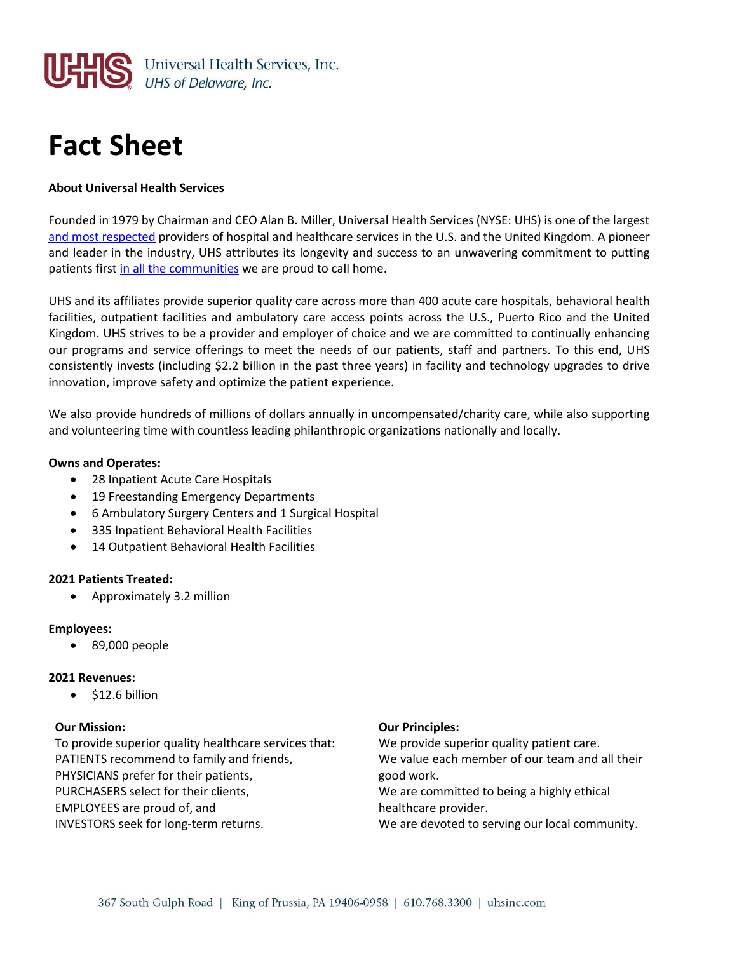

# **Fact Sheet**

## **About Universal Health Services**

Founded in 1979 by Chairman and CEO Alan B. Miller, Universal Health Services (NYSE: UHS) is one of the largest [and most respected](https://www.uhsinc.com/about-uhs/awards/) providers of hospital and healthcare services in the U.S. and the United Kingdom. A pioneer and leader in the industry, UHS attributes its longevity and success to an unwavering commitment to putting patients firs[t in all the communities](https://www.uhsinc.com/our-communities/) we are proud to call home.

UHS and its affiliates provide superior quality care across more than 400 acute care hospitals, behavioral health facilities, outpatient facilities and ambulatory care access points across the U.S., Puerto Rico and the United Kingdom. UHS strives to be a provider and employer of choice and we are committed to continually enhancing our programs and service offerings to meet the needs of our patients, staff and partners. To this end, UHS consistently invests (including \$2.2 billion in the past three years) in facility and technology upgrades to drive innovation, improve safety and optimize the patient experience.

We also provide hundreds of millions of dollars annually in uncompensated/charity care, while also supporting and volunteering time with countless leading philanthropic organizations nationally and locally.

#### **Owns and Operates:**

- 28 Inpatient Acute Care Hospitals
- 19 Freestanding Emergency Departments
- 6 Ambulatory Surgery Centers and 1 Surgical Hospital
- 335 Inpatient Behavioral Health Facilities
- 14 Outpatient Behavioral Health Facilities

#### **2021 Patients Treated:**

• Approximately 3.2 million

#### **Employees:**

• 89,000 people

#### **2021 Revenues:**

• \$12.6 billion

### **Our Mission:**

To provide superior quality healthcare services that: PATIENTS recommend to family and friends, PHYSICIANS prefer for their patients, PURCHASERS select for their clients, EMPLOYEES are proud of, and INVESTORS seek for long-term returns.

#### **Our Principles:**

We provide superior quality patient care. We value each member of our team and all their good work. We are committed to being a highly ethical healthcare provider. We are devoted to serving our local community.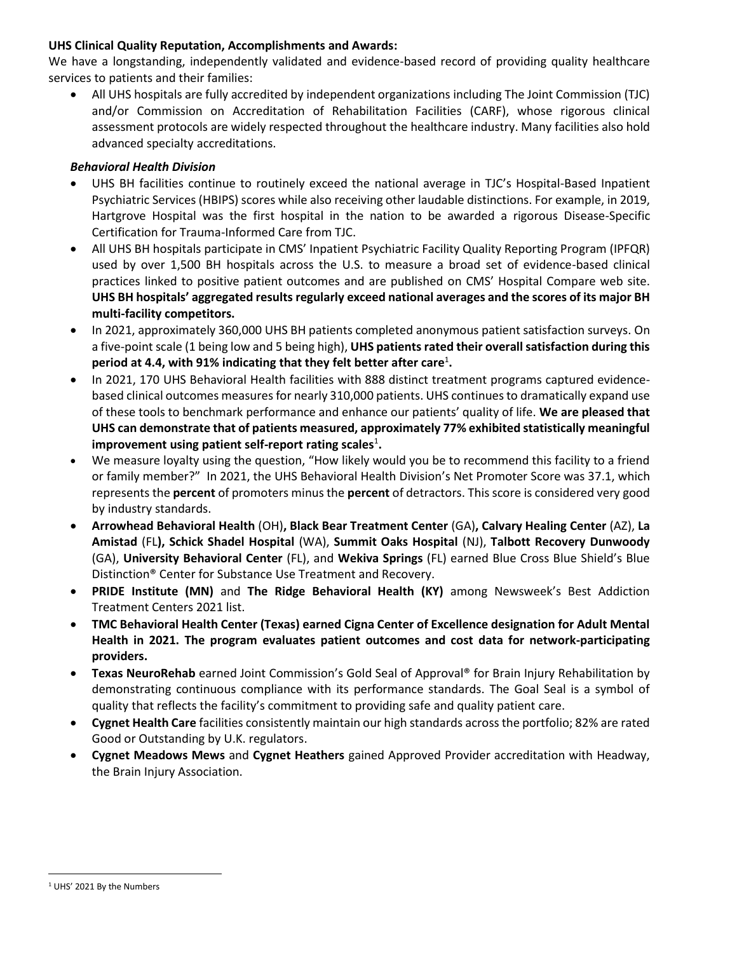## **UHS Clinical Quality Reputation, Accomplishments and Awards:**

We have a longstanding, independently validated and evidence-based record of providing quality healthcare services to patients and their families:

• All UHS hospitals are fully accredited by independent organizations including The Joint Commission (TJC) and/or Commission on Accreditation of Rehabilitation Facilities (CARF), whose rigorous clinical assessment protocols are widely respected throughout the healthcare industry. Many facilities also hold advanced specialty accreditations.

## *Behavioral Health Division*

- UHS BH facilities continue to routinely exceed the national average in TJC's Hospital-Based Inpatient Psychiatric Services (HBIPS) scores while also receiving other laudable distinctions. For example, in 2019, Hartgrove Hospital was the first hospital in the nation to be awarded a rigorous Disease-Specific Certification for Trauma-Informed Care from TJC.
- All UHS BH hospitals participate in CMS' Inpatient Psychiatric Facility Quality Reporting Program (IPFQR) used by over 1,500 BH hospitals across the U.S. to measure a broad set of evidence-based clinical practices linked to positive patient outcomes and are published on CMS' Hospital Compare web site. **UHS BH hospitals' aggregated results regularly exceed national averages and the scores of its major BH multi-facility competitors.**
- In 2021, approximately 360,000 UHS BH patients completed anonymous patient satisfaction surveys. On a five-point scale (1 being low and 5 being high), **UHS patients rated their overall satisfaction during this**  period at 4.4, with 91% indicating that they felt better after care<sup>1</sup>.
- In 2021, 170 UHS Behavioral Health facilities with 888 distinct treatment programs captured evidencebased clinical outcomes measures for nearly 310,000 patients. UHS continues to dramatically expand use of these tools to benchmark performance and enhance our patients' quality of life. **We are pleased that UHS can demonstrate that of patients measured, approximately 77% exhibited statistically meaningful**  improvement using patient self-report rating scales<sup>1</sup>.
- We measure loyalty using the question, "How likely would you be to recommend this facility to a friend or family member?" In 2021, the UHS Behavioral Health Division's Net Promoter Score was 37.1, which represents the **percent** of promoters minus the **percent** of detractors. This score is considered very good by industry standards.
- **Arrowhead Behavioral Health** (OH)**, Black Bear Treatment Center** (GA)**, Calvary Healing Center** (AZ), **La Amistad** (FL**), Schick Shadel Hospital** (WA), **Summit Oaks Hospital** (NJ), **Talbott Recovery Dunwoody** (GA), **University Behavioral Center** (FL), and **Wekiva Springs** (FL) earned Blue Cross Blue Shield's Blue Distinction® Center for Substance Use Treatment and Recovery.
- **PRIDE Institute (MN)** and **The Ridge Behavioral Health (KY)** among Newsweek's Best Addiction Treatment Centers 2021 list.
- **TMC Behavioral Health Center (Texas) earned Cigna Center of Excellence designation for Adult Mental Health in 2021. The program evaluates patient outcomes and cost data for network-participating providers.**
- **Texas NeuroRehab** earned Joint Commission's Gold Seal of Approval® for Brain Injury Rehabilitation by demonstrating continuous compliance with its performance standards. The Goal Seal is a symbol of quality that reflects the facility's commitment to providing safe and quality patient care.
- **Cygnet Health Care** facilities consistently maintain our high standards across the portfolio; 82% are rated Good or Outstanding by U.K. regulators.
- **Cygnet Meadows Mews** and **Cygnet Heathers** gained Approved Provider accreditation with Headway, the Brain Injury Association.

<sup>1</sup> UHS' 2021 By the Numbers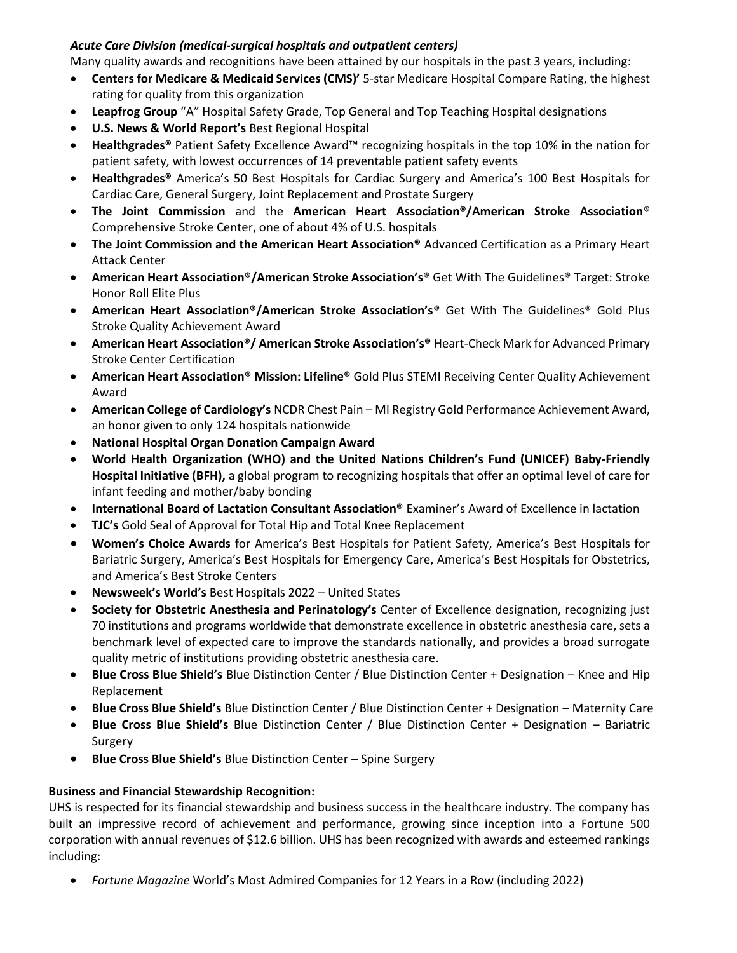## *Acute Care Division (medical-surgical hospitals and outpatient centers)*

Many quality awards and recognitions have been attained by our hospitals in the past 3 years, including:

- **Centers for Medicare & Medicaid Services (CMS)'** 5-star Medicare Hospital Compare Rating, the highest rating for quality from this organization
- **Leapfrog Group** "A" Hospital Safety Grade, Top General and Top Teaching Hospital designations
- **U.S. News & World Report's** Best Regional Hospital
- **Healthgrades®** Patient Safety Excellence Award™ recognizing hospitals in the top 10% in the nation for patient safety, with lowest occurrences of 14 preventable patient safety events
- **Healthgrades®** America's 50 Best Hospitals for Cardiac Surgery and America's 100 Best Hospitals for Cardiac Care, General Surgery, Joint Replacement and Prostate Surgery
- **The Joint Commission** and the **American Heart Association®/American Stroke Association**® Comprehensive Stroke Center, one of about 4% of U.S. hospitals
- **The Joint Commission and the American Heart Association®** Advanced Certification as a Primary Heart Attack Center
- **American Heart Association®/American Stroke Association's**® Get With The Guidelines® Target: Stroke Honor Roll Elite Plus
- **American Heart Association®/American Stroke Association's**® Get With The Guidelines® Gold Plus Stroke Quality Achievement Award
- **American Heart Association®/ American Stroke Association's®** Heart-Check Mark for Advanced Primary Stroke Center Certification
- **American Heart Association® Mission: Lifeline®** Gold Plus STEMI Receiving Center Quality Achievement Award
- **American College of Cardiology's** NCDR Chest Pain MI Registry Gold Performance Achievement Award, an honor given to only 124 hospitals nationwide
- **National Hospital Organ Donation Campaign Award**
- **World Health Organization (WHO) and the United Nations Children's Fund (UNICEF) Baby-Friendly Hospital Initiative (BFH),** a global program to recognizing hospitals that offer an optimal level of care for infant feeding and mother/baby bonding
- **International Board of Lactation Consultant Association®** Examiner's Award of Excellence in lactation
- **TJC's** Gold Seal of Approval for Total Hip and Total Knee Replacement
- **Women's Choice Awards** for America's Best Hospitals for Patient Safety, America's Best Hospitals for Bariatric Surgery, America's Best Hospitals for Emergency Care, America's Best Hospitals for Obstetrics, and America's Best Stroke Centers
- **Newsweek's World's** Best Hospitals 2022 United States
- **Society for Obstetric Anesthesia and Perinatology's** Center of Excellence designation, recognizing just 70 institutions and programs worldwide that demonstrate excellence in obstetric anesthesia care, sets a benchmark level of expected care to improve the standards nationally, and provides a broad surrogate quality metric of institutions providing obstetric anesthesia care.
- **Blue Cross Blue Shield's** Blue Distinction Center / Blue Distinction Center + Designation Knee and Hip Replacement
- **Blue Cross Blue Shield's** Blue Distinction Center / Blue Distinction Center + Designation Maternity Care
- **Blue Cross Blue Shield's** Blue Distinction Center / Blue Distinction Center + Designation Bariatric Surgery
- **Blue Cross Blue Shield's** Blue Distinction Center Spine Surgery

## **Business and Financial Stewardship Recognition:**

UHS is respected for its financial stewardship and business success in the healthcare industry. The company has built an impressive record of achievement and performance, growing since inception into a Fortune 500 corporation with annual revenues of \$12.6 billion. UHS has been recognized with awards and esteemed rankings including:

• *Fortune Magazine* World's Most Admired Companies for 12 Years in a Row (including 2022)